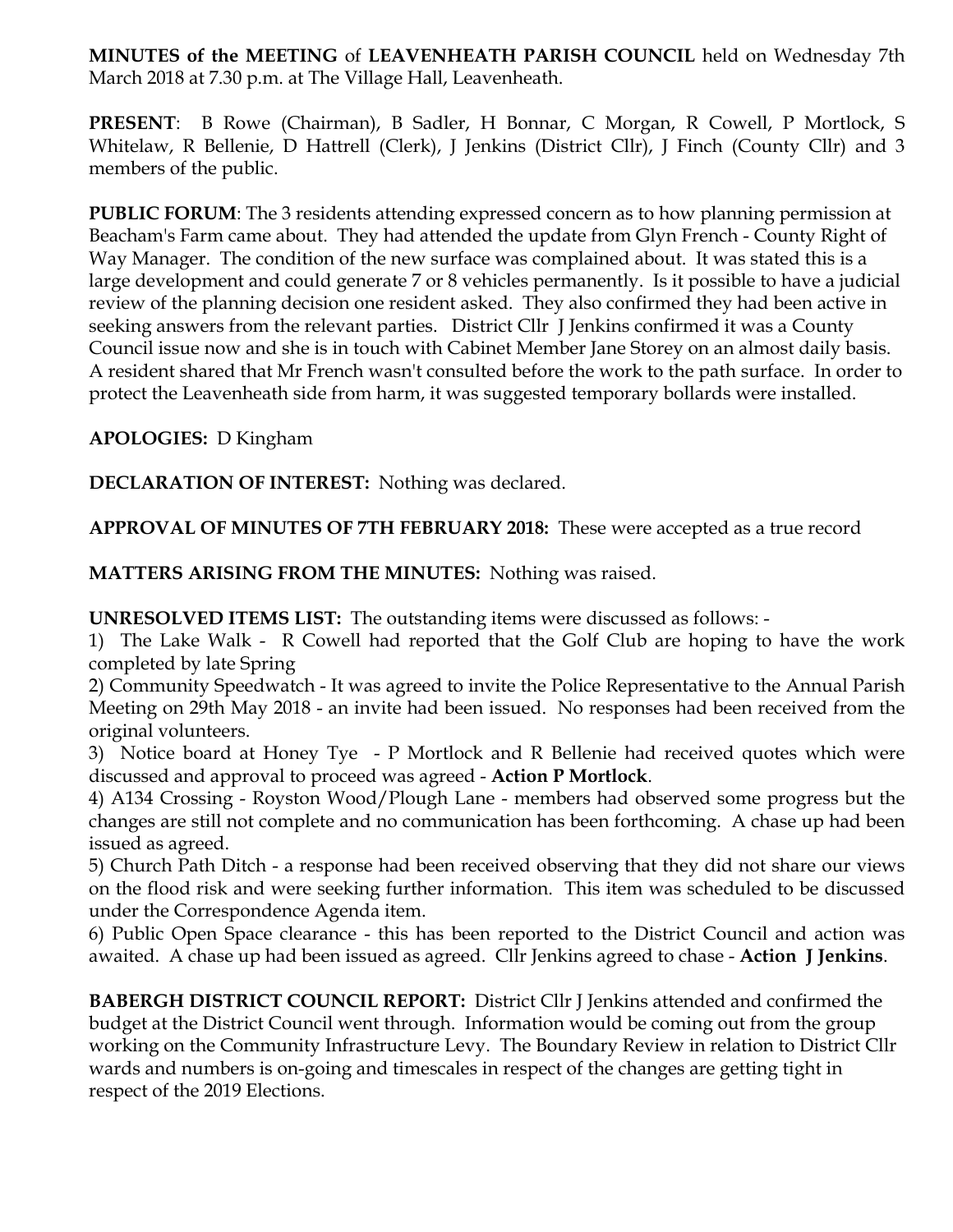**MINUTES of the MEETING** of **LEAVENHEATH PARISH COUNCIL** held on Wednesday 7th March 2018 at 7.30 p.m. at The Village Hall, Leavenheath.

**PRESENT**: B Rowe (Chairman), B Sadler, H Bonnar, C Morgan, R Cowell, P Mortlock, S Whitelaw, R Bellenie, D Hattrell (Clerk), J Jenkins (District Cllr), J Finch (County Cllr) and 3 members of the public.

**PUBLIC FORUM:** The 3 residents attending expressed concern as to how planning permission at Beacham's Farm came about. They had attended the update from Glyn French - County Right of Way Manager. The condition of the new surface was complained about. It was stated this is a large development and could generate 7 or 8 vehicles permanently. Is it possible to have a judicial review of the planning decision one resident asked. They also confirmed they had been active in seeking answers from the relevant parties. District Cllr J Jenkins confirmed it was a County Council issue now and she is in touch with Cabinet Member Jane Storey on an almost daily basis. A resident shared that Mr French wasn't consulted before the work to the path surface. In order to protect the Leavenheath side from harm, it was suggested temporary bollards were installed.

**APOLOGIES:** D Kingham

**DECLARATION OF INTEREST:** Nothing was declared.

**APPROVAL OF MINUTES OF 7TH FEBRUARY 2018:** These were accepted as a true record

**MATTERS ARISING FROM THE MINUTES:** Nothing was raised.

**UNRESOLVED ITEMS LIST:** The outstanding items were discussed as follows: -

1) The Lake Walk - R Cowell had reported that the Golf Club are hoping to have the work completed by late Spring

2) Community Speedwatch - It was agreed to invite the Police Representative to the Annual Parish Meeting on 29th May 2018 - an invite had been issued. No responses had been received from the original volunteers.

3) Notice board at Honey Tye - P Mortlock and R Bellenie had received quotes which were discussed and approval to proceed was agreed - **Action P Mortlock**.

4) A134 Crossing - Royston Wood/Plough Lane - members had observed some progress but the changes are still not complete and no communication has been forthcoming. A chase up had been issued as agreed.

5) Church Path Ditch - a response had been received observing that they did not share our views on the flood risk and were seeking further information. This item was scheduled to be discussed under the Correspondence Agenda item.

6) Public Open Space clearance - this has been reported to the District Council and action was awaited. A chase up had been issued as agreed. Cllr Jenkins agreed to chase - **Action J Jenkins**.

**BABERGH DISTRICT COUNCIL REPORT:** District Cllr J Jenkins attended and confirmed the budget at the District Council went through. Information would be coming out from the group working on the Community Infrastructure Levy. The Boundary Review in relation to District Cllr wards and numbers is on-going and timescales in respect of the changes are getting tight in respect of the 2019 Elections.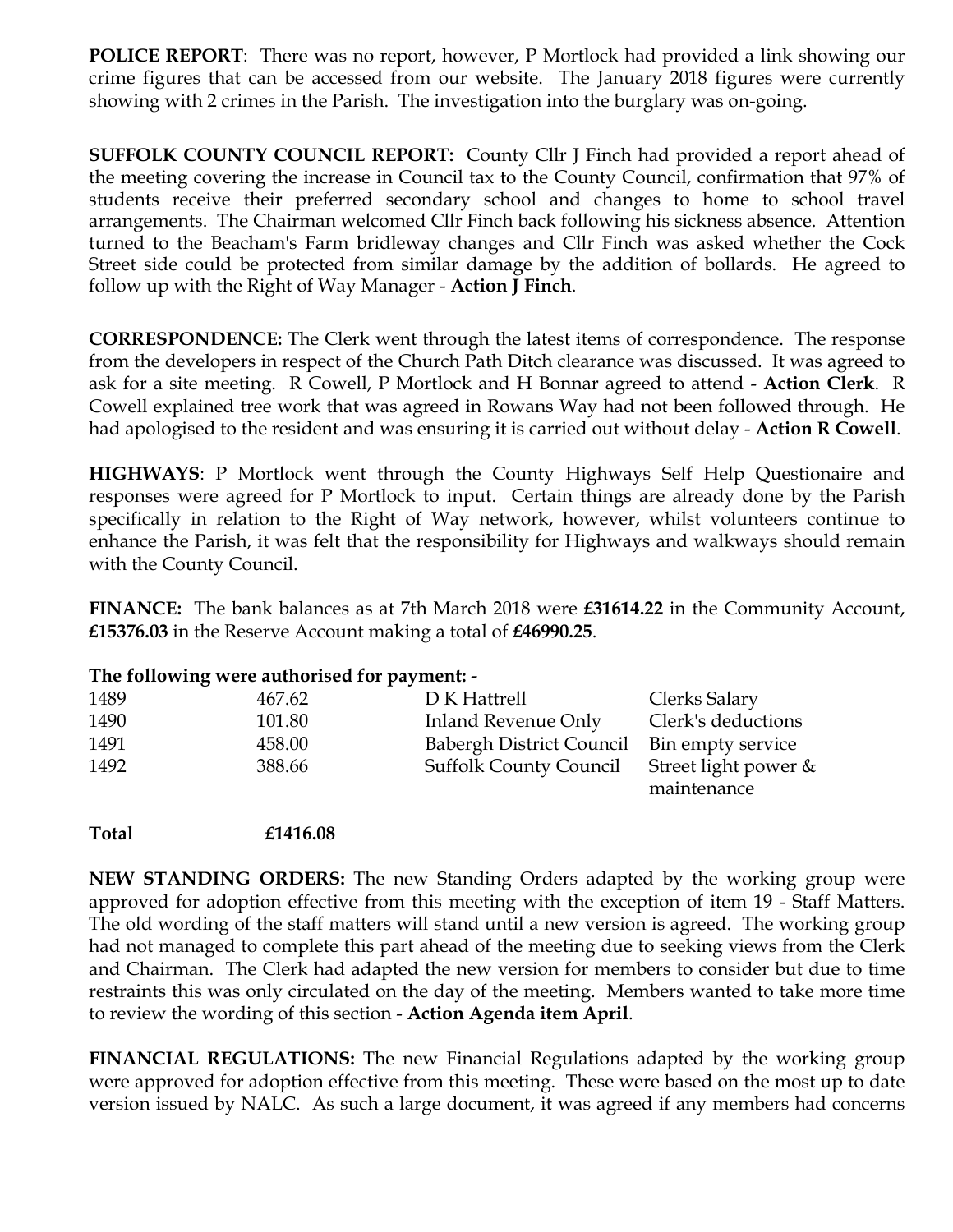**POLICE REPORT:** There was no report, however, P Mortlock had provided a link showing our crime figures that can be accessed from our website. The January 2018 figures were currently showing with 2 crimes in the Parish. The investigation into the burglary was on-going.

**SUFFOLK COUNTY COUNCIL REPORT:** County Cllr J Finch had provided a report ahead of the meeting covering the increase in Council tax to the County Council, confirmation that 97% of students receive their preferred secondary school and changes to home to school travel arrangements. The Chairman welcomed Cllr Finch back following his sickness absence. Attention turned to the Beacham's Farm bridleway changes and Cllr Finch was asked whether the Cock Street side could be protected from similar damage by the addition of bollards. He agreed to follow up with the Right of Way Manager - **Action J Finch**.

**CORRESPONDENCE:** The Clerk went through the latest items of correspondence. The response from the developers in respect of the Church Path Ditch clearance was discussed. It was agreed to ask for a site meeting. R Cowell, P Mortlock and H Bonnar agreed to attend - **Action Clerk**. R Cowell explained tree work that was agreed in Rowans Way had not been followed through. He had apologised to the resident and was ensuring it is carried out without delay - **Action R Cowell**.

**HIGHWAYS**: P Mortlock went through the County Highways Self Help Questionaire and responses were agreed for P Mortlock to input. Certain things are already done by the Parish specifically in relation to the Right of Way network, however, whilst volunteers continue to enhance the Parish, it was felt that the responsibility for Highways and walkways should remain with the County Council.

**FINANCE:** The bank balances as at 7th March 2018 were **£31614.22** in the Community Account, **£15376.03** in the Reserve Account making a total of **£46990.25**.

| The following were authorised for payment: - |        |                               |                                     |
|----------------------------------------------|--------|-------------------------------|-------------------------------------|
| 1489                                         | 467.62 | D K Hattrell                  | Clerks Salary                       |
| 1490                                         | 101.80 | Inland Revenue Only           | Clerk's deductions                  |
| 1491                                         | 458.00 | Babergh District Council      | Bin empty service                   |
| 1492                                         | 388.66 | <b>Suffolk County Council</b> | Street light power &<br>maintenance |

**Total £1416.08**

**NEW STANDING ORDERS:** The new Standing Orders adapted by the working group were approved for adoption effective from this meeting with the exception of item 19 - Staff Matters. The old wording of the staff matters will stand until a new version is agreed. The working group had not managed to complete this part ahead of the meeting due to seeking views from the Clerk and Chairman. The Clerk had adapted the new version for members to consider but due to time restraints this was only circulated on the day of the meeting. Members wanted to take more time to review the wording of this section - **Action Agenda item April**.

**FINANCIAL REGULATIONS:** The new Financial Regulations adapted by the working group were approved for adoption effective from this meeting. These were based on the most up to date version issued by NALC. As such a large document, it was agreed if any members had concerns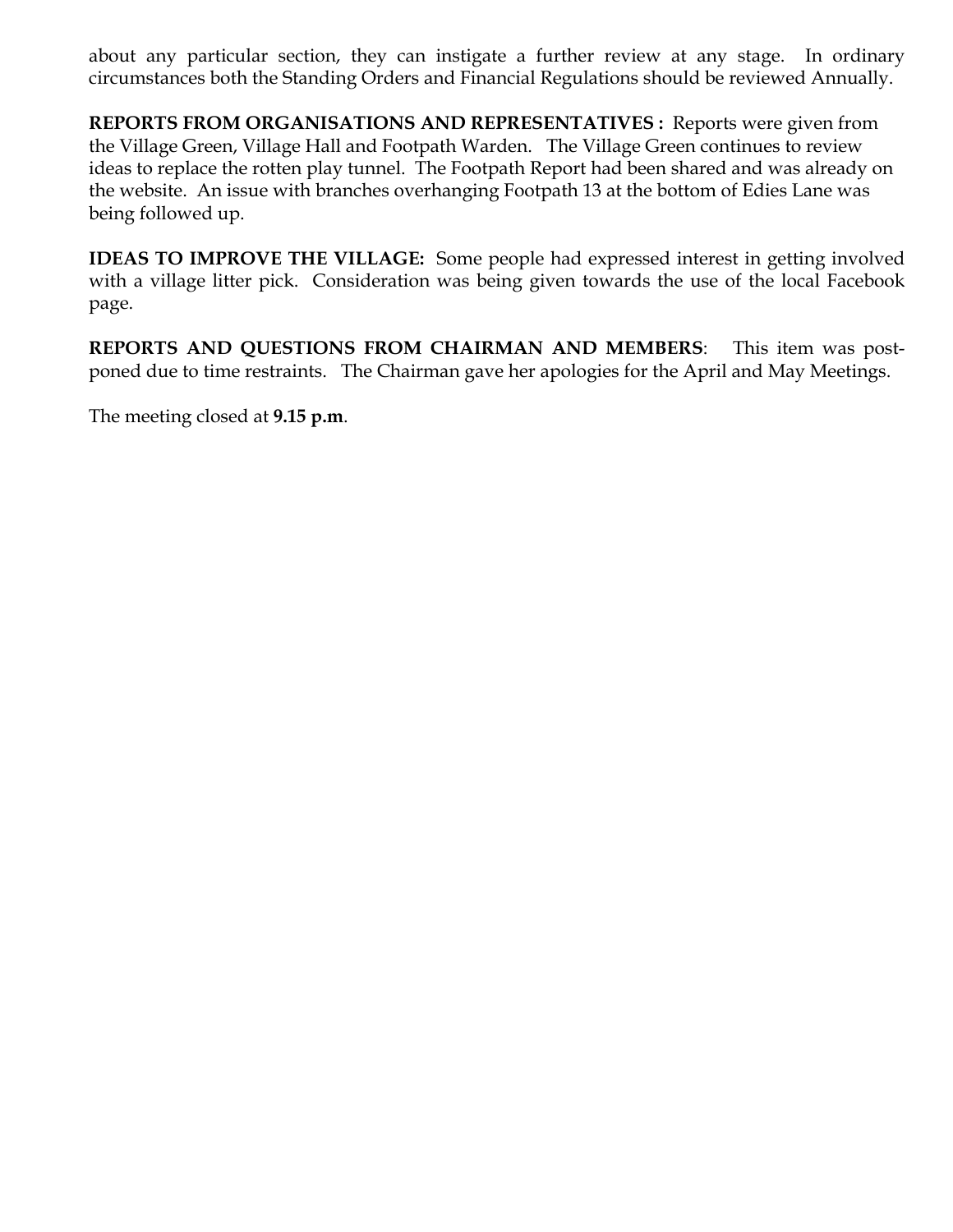about any particular section, they can instigate a further review at any stage. In ordinary circumstances both the Standing Orders and Financial Regulations should be reviewed Annually.

**REPORTS FROM ORGANISATIONS AND REPRESENTATIVES :** Reports were given from the Village Green, Village Hall and Footpath Warden. The Village Green continues to review ideas to replace the rotten play tunnel. The Footpath Report had been shared and was already on the website. An issue with branches overhanging Footpath 13 at the bottom of Edies Lane was being followed up.

**IDEAS TO IMPROVE THE VILLAGE:** Some people had expressed interest in getting involved with a village litter pick. Consideration was being given towards the use of the local Facebook page.

**REPORTS AND QUESTIONS FROM CHAIRMAN AND MEMBERS**: This item was postponed due to time restraints. The Chairman gave her apologies for the April and May Meetings.

The meeting closed at **9.15 p.m**.